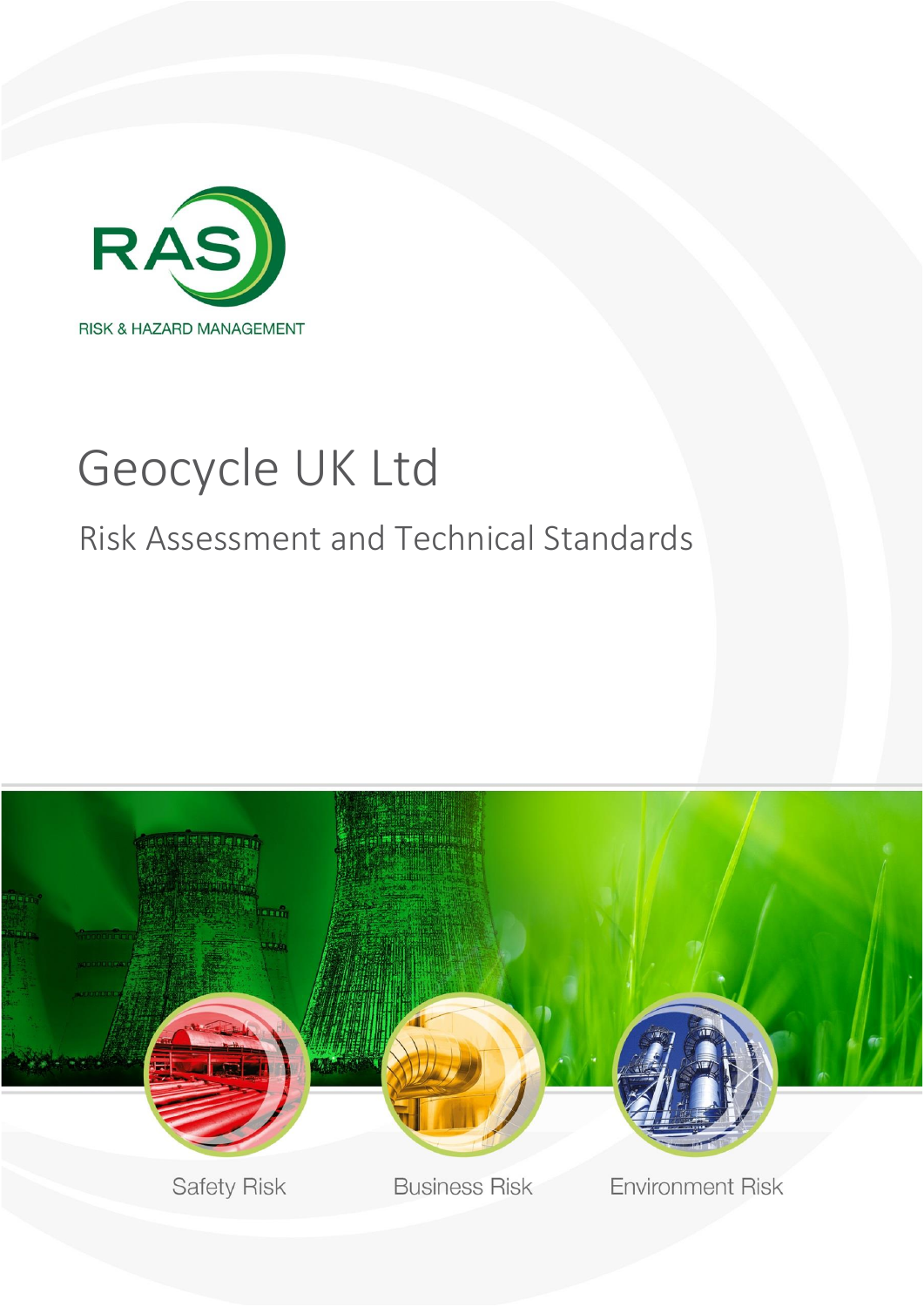

# Geocycle UK Ltd

# Risk Assessment and Technical Standards

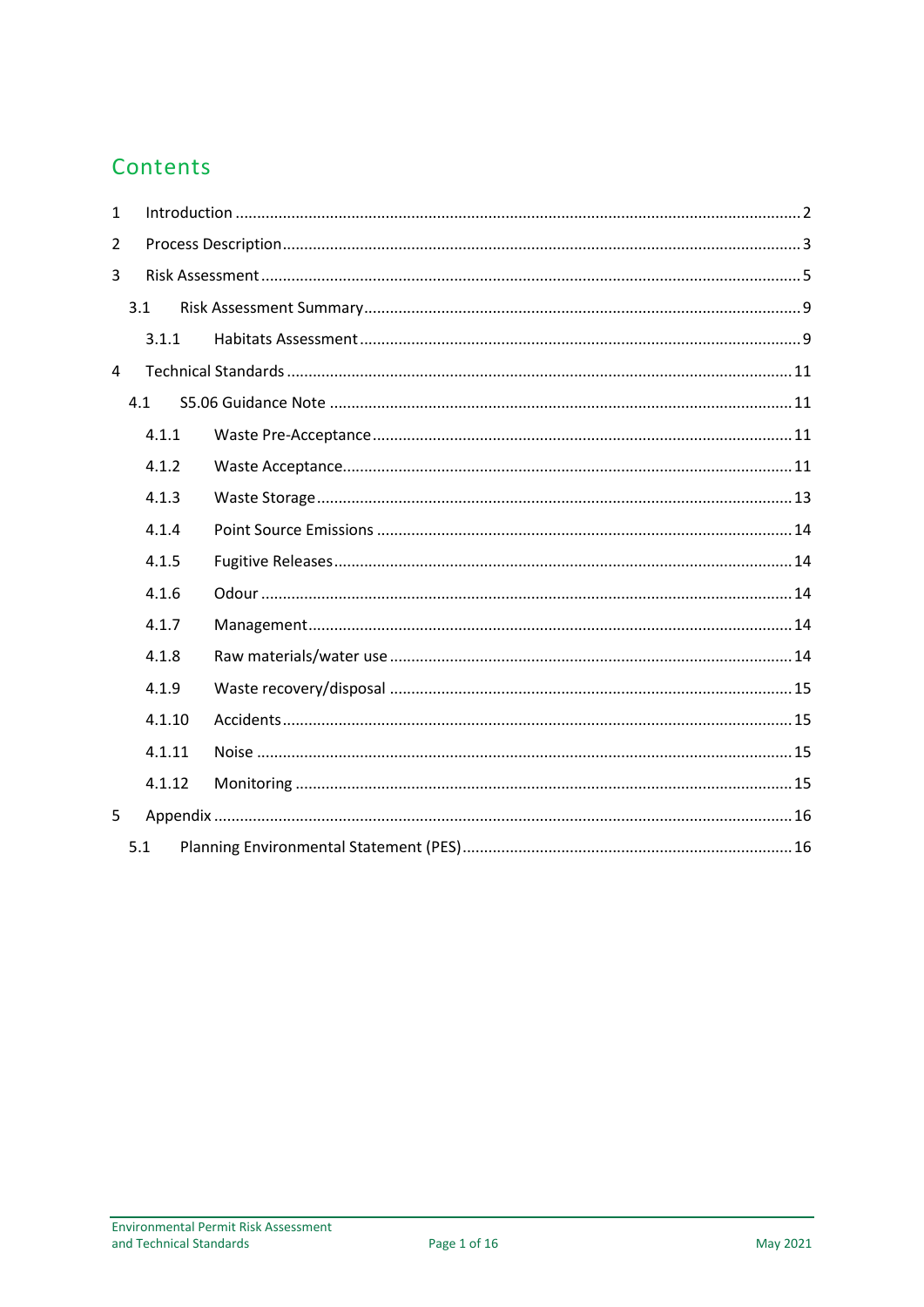#### Contents

| $\mathbf{1}$  |        |  |  |  |  |  |  |  |  |
|---------------|--------|--|--|--|--|--|--|--|--|
| $\mathcal{P}$ |        |  |  |  |  |  |  |  |  |
| 3             |        |  |  |  |  |  |  |  |  |
|               | 3.1    |  |  |  |  |  |  |  |  |
|               | 3.1.1  |  |  |  |  |  |  |  |  |
| 4             |        |  |  |  |  |  |  |  |  |
|               | 4.1    |  |  |  |  |  |  |  |  |
|               | 4.1.1  |  |  |  |  |  |  |  |  |
|               | 4.1.2  |  |  |  |  |  |  |  |  |
|               | 4.1.3  |  |  |  |  |  |  |  |  |
|               | 4.1.4  |  |  |  |  |  |  |  |  |
|               | 4.1.5  |  |  |  |  |  |  |  |  |
|               | 4.1.6  |  |  |  |  |  |  |  |  |
|               | 4.1.7  |  |  |  |  |  |  |  |  |
|               | 4.1.8  |  |  |  |  |  |  |  |  |
|               | 4.1.9  |  |  |  |  |  |  |  |  |
|               | 4.1.10 |  |  |  |  |  |  |  |  |
|               | 4.1.11 |  |  |  |  |  |  |  |  |
|               | 4.1.12 |  |  |  |  |  |  |  |  |
| 5             |        |  |  |  |  |  |  |  |  |
|               | 5.1    |  |  |  |  |  |  |  |  |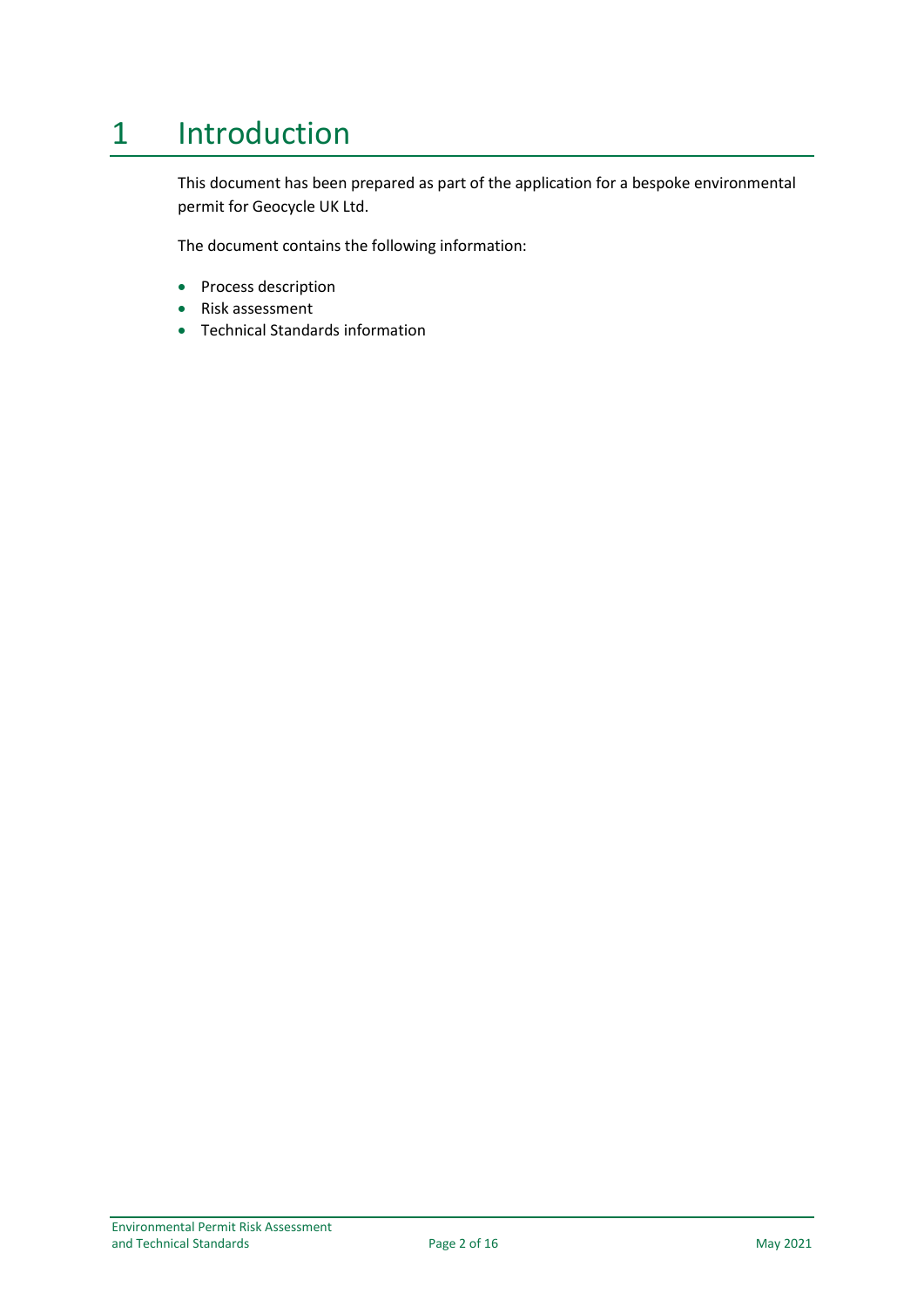# <span id="page-2-0"></span>1 Introduction

This document has been prepared as part of the application for a bespoke environmental permit for Geocycle UK Ltd.

The document contains the following information:

- Process description
- Risk assessment
- Technical Standards information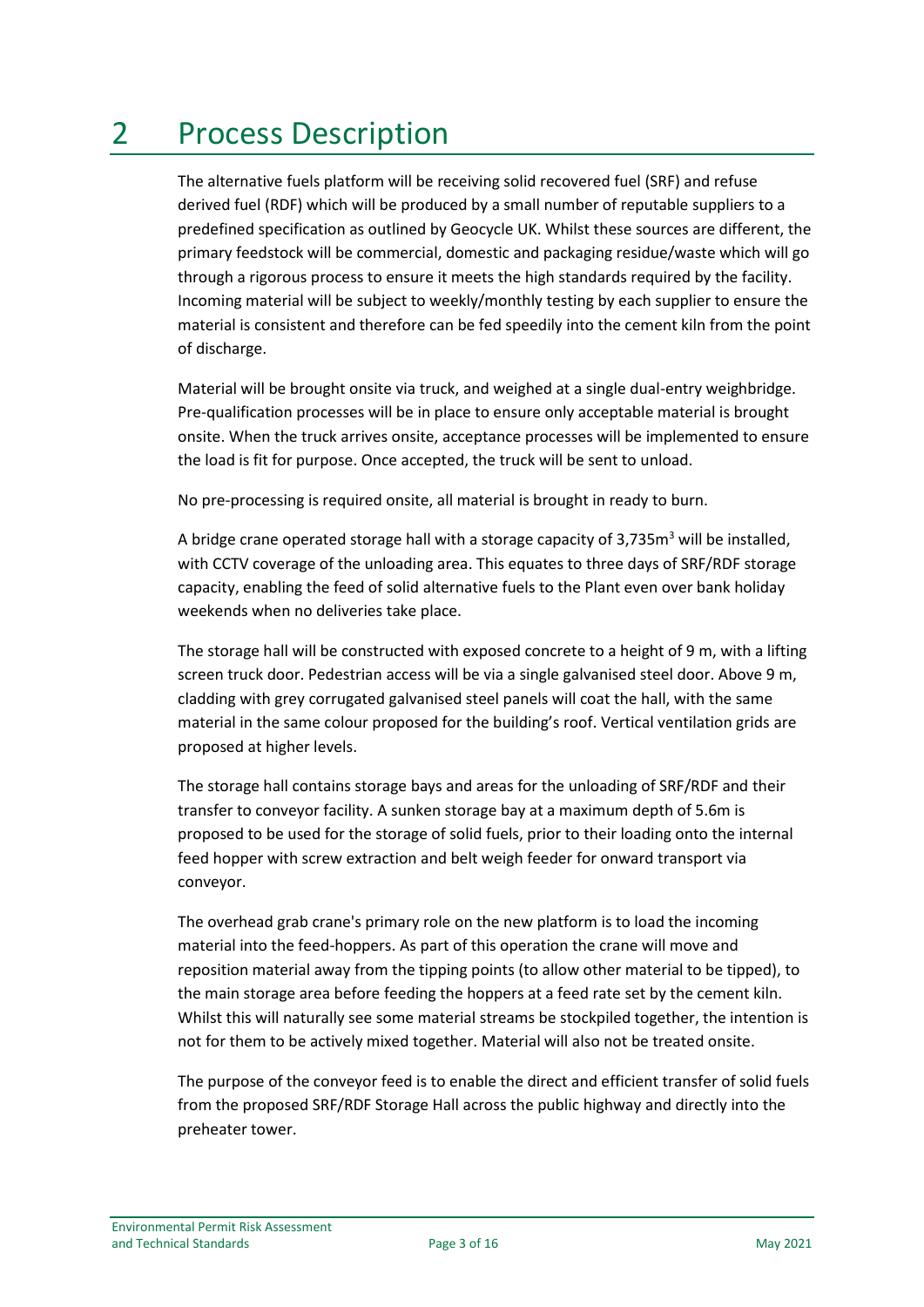# <span id="page-3-0"></span>2 Process Description

The alternative fuels platform will be receiving solid recovered fuel (SRF) and refuse derived fuel (RDF) which will be produced by a small number of reputable suppliers to a predefined specification as outlined by Geocycle UK. Whilst these sources are different, the primary feedstock will be commercial, domestic and packaging residue/waste which will go through a rigorous process to ensure it meets the high standards required by the facility. Incoming material will be subject to weekly/monthly testing by each supplier to ensure the material is consistent and therefore can be fed speedily into the cement kiln from the point of discharge.

Material will be brought onsite via truck, and weighed at a single dual-entry weighbridge. Pre-qualification processes will be in place to ensure only acceptable material is brought onsite. When the truck arrives onsite, acceptance processes will be implemented to ensure the load is fit for purpose. Once accepted, the truck will be sent to unload.

No pre-processing is required onsite, all material is brought in ready to burn.

A bridge crane operated storage hall with a storage capacity of  $3.735m<sup>3</sup>$  will be installed, with CCTV coverage of the unloading area. This equates to three days of SRF/RDF storage capacity, enabling the feed of solid alternative fuels to the Plant even over bank holiday weekends when no deliveries take place.

The storage hall will be constructed with exposed concrete to a height of 9 m, with a lifting screen truck door. Pedestrian access will be via a single galvanised steel door. Above 9 m, cladding with grey corrugated galvanised steel panels will coat the hall, with the same material in the same colour proposed for the building's roof. Vertical ventilation grids are proposed at higher levels.

The storage hall contains storage bays and areas for the unloading of SRF/RDF and their transfer to conveyor facility. A sunken storage bay at a maximum depth of 5.6m is proposed to be used for the storage of solid fuels, prior to their loading onto the internal feed hopper with screw extraction and belt weigh feeder for onward transport via conveyor.

The overhead grab crane's primary role on the new platform is to load the incoming material into the feed-hoppers. As part of this operation the crane will move and reposition material away from the tipping points (to allow other material to be tipped), to the main storage area before feeding the hoppers at a feed rate set by the cement kiln. Whilst this will naturally see some material streams be stockpiled together, the intention is not for them to be actively mixed together. Material will also not be treated onsite.

The purpose of the conveyor feed is to enable the direct and efficient transfer of solid fuels from the proposed SRF/RDF Storage Hall across the public highway and directly into the preheater tower.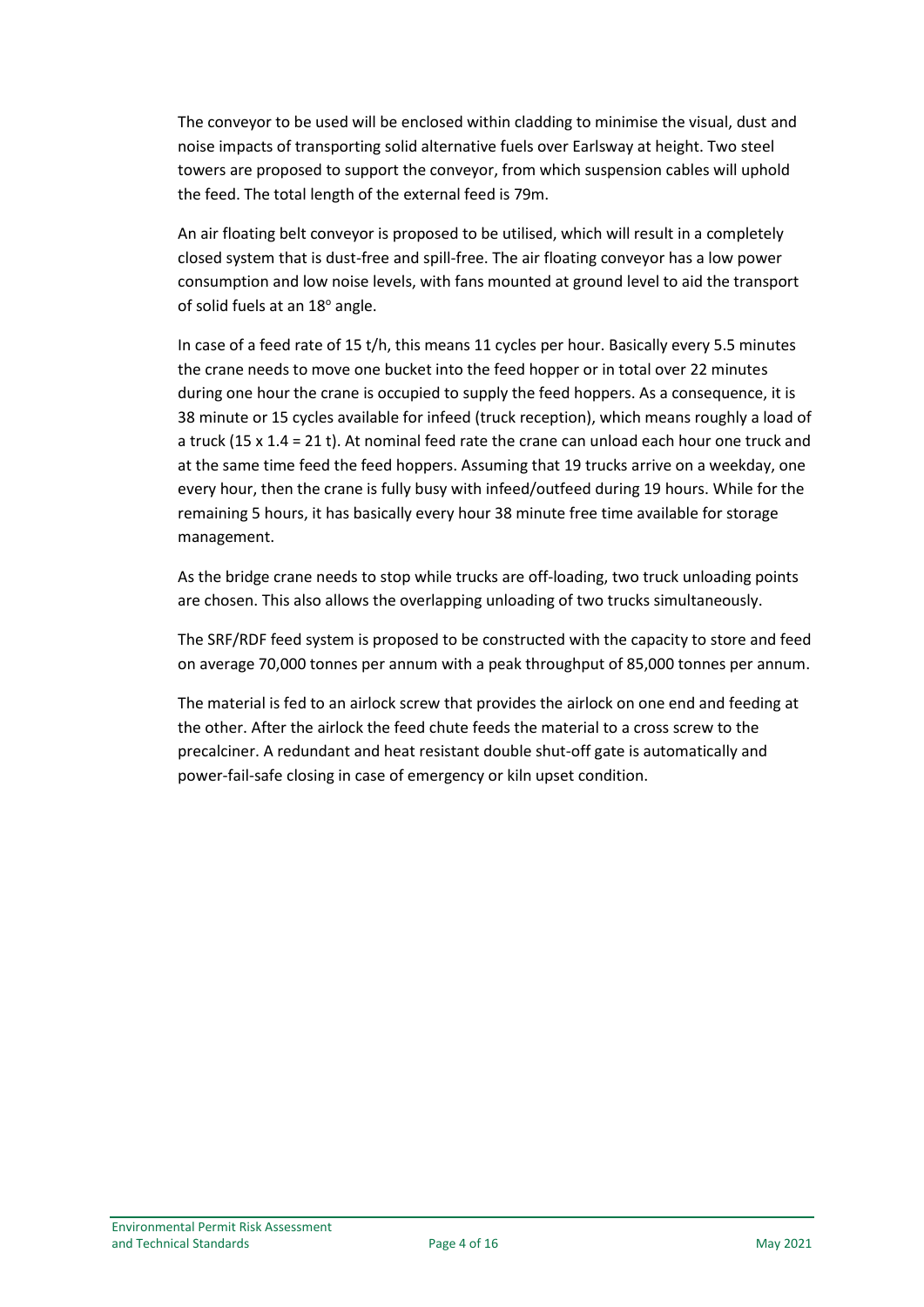The conveyor to be used will be enclosed within cladding to minimise the visual, dust and noise impacts of transporting solid alternative fuels over Earlsway at height. Two steel towers are proposed to support the conveyor, from which suspension cables will uphold the feed. The total length of the external feed is 79m.

An air floating belt conveyor is proposed to be utilised, which will result in a completely closed system that is dust-free and spill-free. The air floating conveyor has a low power consumption and low noise levels, with fans mounted at ground level to aid the transport of solid fuels at an 18° angle.

In case of a feed rate of 15 t/h, this means 11 cycles per hour. Basically every 5.5 minutes the crane needs to move one bucket into the feed hopper or in total over 22 minutes during one hour the crane is occupied to supply the feed hoppers. As a consequence, it is 38 minute or 15 cycles available for infeed (truck reception), which means roughly a load of a truck (15 x 1.4 = 21 t). At nominal feed rate the crane can unload each hour one truck and at the same time feed the feed hoppers. Assuming that 19 trucks arrive on a weekday, one every hour, then the crane is fully busy with infeed/outfeed during 19 hours. While for the remaining 5 hours, it has basically every hour 38 minute free time available for storage management.

As the bridge crane needs to stop while trucks are off-loading, two truck unloading points are chosen. This also allows the overlapping unloading of two trucks simultaneously.

The SRF/RDF feed system is proposed to be constructed with the capacity to store and feed on average 70,000 tonnes per annum with a peak throughput of 85,000 tonnes per annum.

The material is fed to an airlock screw that provides the airlock on one end and feeding at the other. After the airlock the feed chute feeds the material to a cross screw to the precalciner. A redundant and heat resistant double shut-off gate is automatically and power-fail-safe closing in case of emergency or kiln upset condition.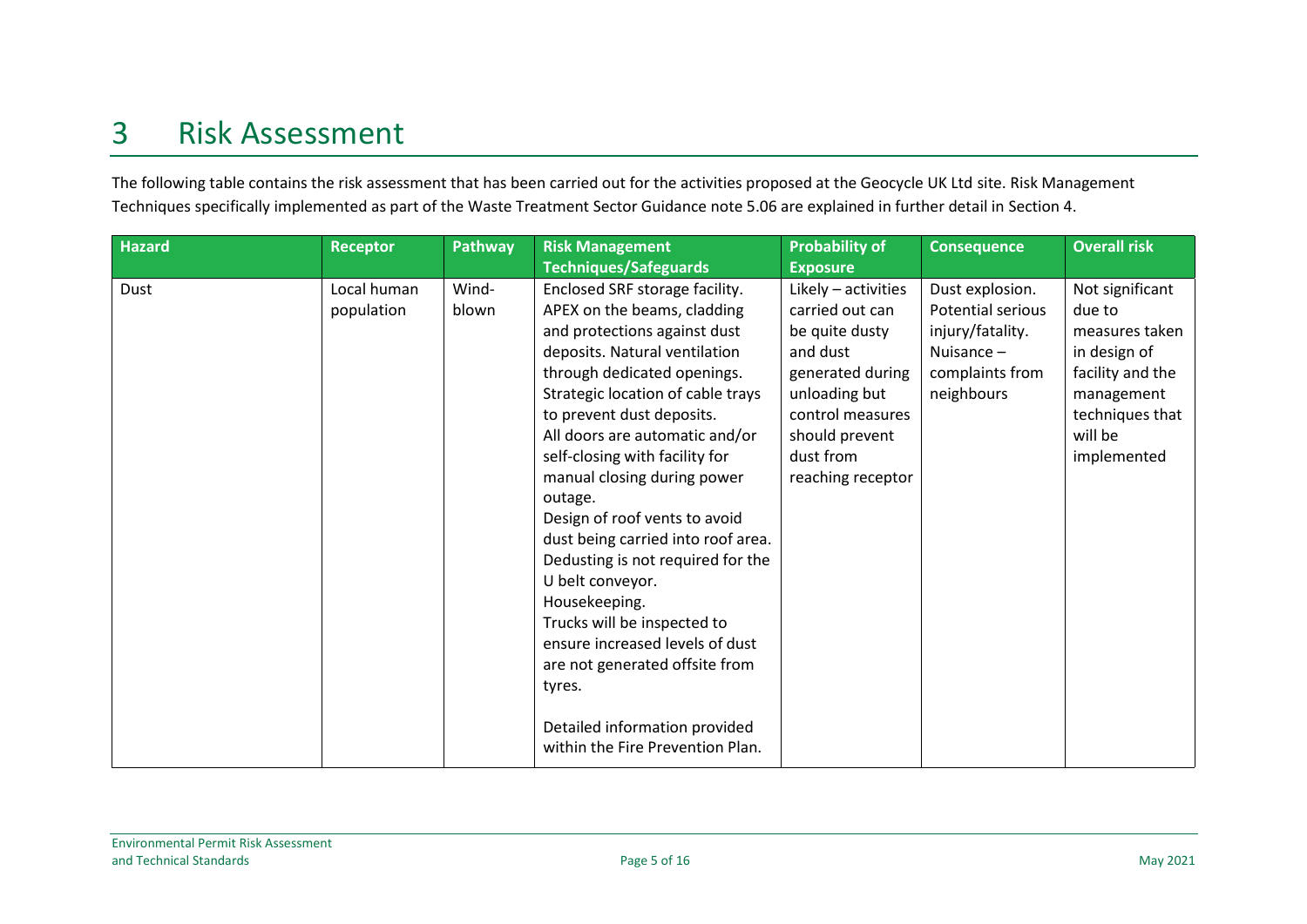# 3 Risk Assessment

The following table contains the risk assessment that has been carried out for the activities proposed at the Geocycle UK Ltd site. Risk Management Techniques specifically implemented as part of the Waste Treatment Sector Guidance note 5.06 are explained in further detail in Section 4.

<span id="page-5-0"></span>

| <b>Hazard</b> | <b>Receptor</b>           | Pathway        | <b>Risk Management</b>                                                                                                                                                                                                                                                                                                                                                                                                                                                                                                                                                                                                                                                            | <b>Probability of</b>                                                                                                                                                             | <b>Consequence</b>                                                                                        | <b>Overall risk</b>                                                                                                                        |
|---------------|---------------------------|----------------|-----------------------------------------------------------------------------------------------------------------------------------------------------------------------------------------------------------------------------------------------------------------------------------------------------------------------------------------------------------------------------------------------------------------------------------------------------------------------------------------------------------------------------------------------------------------------------------------------------------------------------------------------------------------------------------|-----------------------------------------------------------------------------------------------------------------------------------------------------------------------------------|-----------------------------------------------------------------------------------------------------------|--------------------------------------------------------------------------------------------------------------------------------------------|
|               |                           |                | <b>Techniques/Safeguards</b>                                                                                                                                                                                                                                                                                                                                                                                                                                                                                                                                                                                                                                                      | <b>Exposure</b>                                                                                                                                                                   |                                                                                                           |                                                                                                                                            |
| Dust          | Local human<br>population | Wind-<br>blown | Enclosed SRF storage facility.<br>APEX on the beams, cladding<br>and protections against dust<br>deposits. Natural ventilation<br>through dedicated openings.<br>Strategic location of cable trays<br>to prevent dust deposits.<br>All doors are automatic and/or<br>self-closing with facility for<br>manual closing during power<br>outage.<br>Design of roof vents to avoid<br>dust being carried into roof area.<br>Dedusting is not required for the<br>U belt conveyor.<br>Housekeeping.<br>Trucks will be inspected to<br>ensure increased levels of dust<br>are not generated offsite from<br>tyres.<br>Detailed information provided<br>within the Fire Prevention Plan. | Likely - activities<br>carried out can<br>be quite dusty<br>and dust<br>generated during<br>unloading but<br>control measures<br>should prevent<br>dust from<br>reaching receptor | Dust explosion.<br>Potential serious<br>injury/fatality.<br>Nuisance $-$<br>complaints from<br>neighbours | Not significant<br>due to<br>measures taken<br>in design of<br>facility and the<br>management<br>techniques that<br>will be<br>implemented |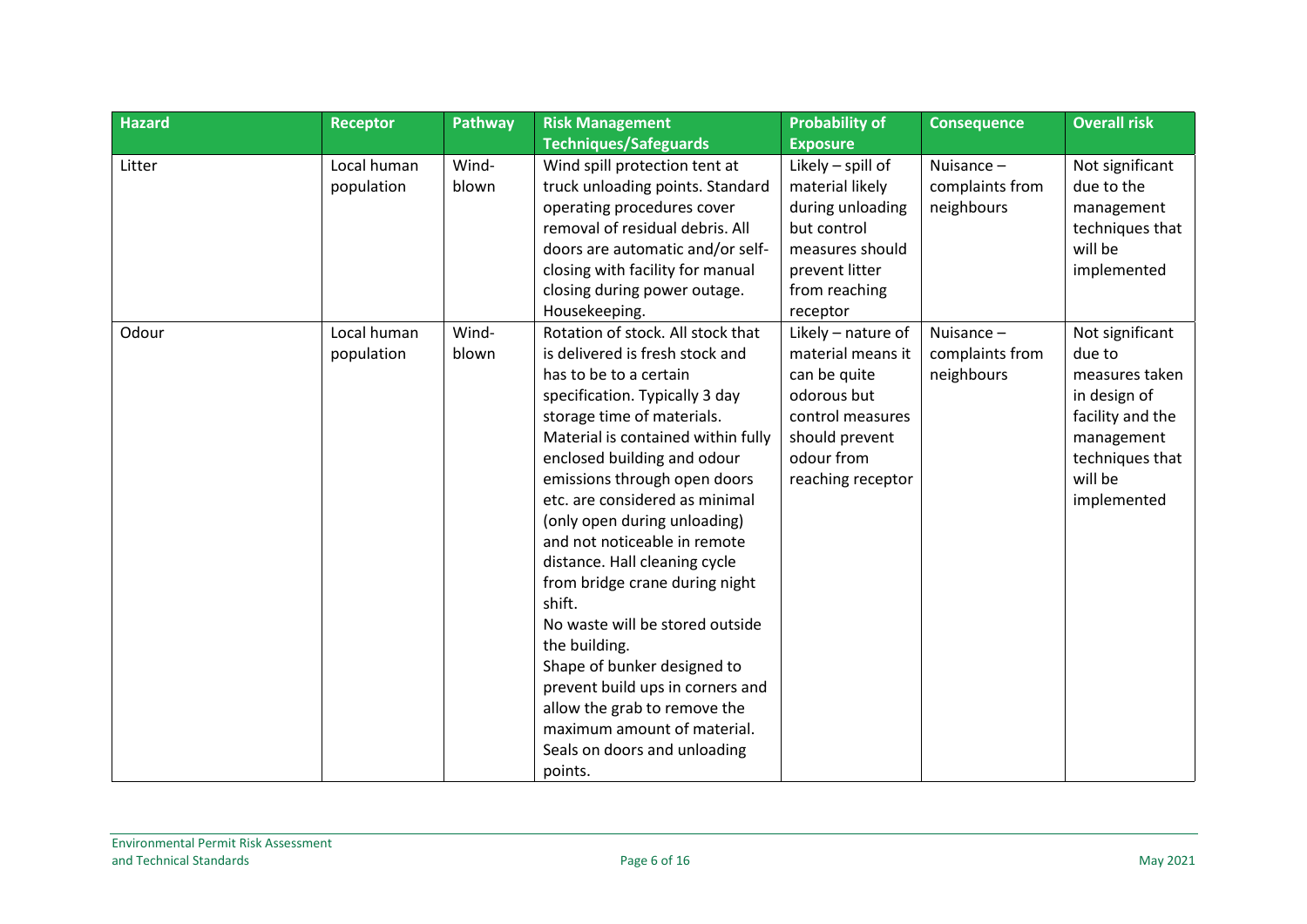| <b>Hazard</b> | <b>Receptor</b>           | Pathway        | <b>Risk Management</b>                                                                                                                                                                                                                                                                                                                                                                                                                                                                                                                                                                                                                                                              | <b>Probability of</b>                                                                                                                           | <b>Consequence</b>                            | <b>Overall risk</b>                                                                                                                        |
|---------------|---------------------------|----------------|-------------------------------------------------------------------------------------------------------------------------------------------------------------------------------------------------------------------------------------------------------------------------------------------------------------------------------------------------------------------------------------------------------------------------------------------------------------------------------------------------------------------------------------------------------------------------------------------------------------------------------------------------------------------------------------|-------------------------------------------------------------------------------------------------------------------------------------------------|-----------------------------------------------|--------------------------------------------------------------------------------------------------------------------------------------------|
|               |                           |                | <b>Techniques/Safeguards</b>                                                                                                                                                                                                                                                                                                                                                                                                                                                                                                                                                                                                                                                        | <b>Exposure</b>                                                                                                                                 |                                               |                                                                                                                                            |
| Litter        | Local human<br>population | Wind-<br>blown | Wind spill protection tent at<br>truck unloading points. Standard<br>operating procedures cover<br>removal of residual debris. All                                                                                                                                                                                                                                                                                                                                                                                                                                                                                                                                                  | Likely - spill of<br>material likely<br>during unloading<br>but control                                                                         | Nuisance -<br>complaints from<br>neighbours   | Not significant<br>due to the<br>management<br>techniques that                                                                             |
|               |                           |                | doors are automatic and/or self-<br>closing with facility for manual<br>closing during power outage.<br>Housekeeping.                                                                                                                                                                                                                                                                                                                                                                                                                                                                                                                                                               | measures should<br>prevent litter<br>from reaching<br>receptor                                                                                  |                                               | will be<br>implemented                                                                                                                     |
| Odour         | Local human<br>population | Wind-<br>blown | Rotation of stock. All stock that<br>is delivered is fresh stock and<br>has to be to a certain<br>specification. Typically 3 day<br>storage time of materials.<br>Material is contained within fully<br>enclosed building and odour<br>emissions through open doors<br>etc. are considered as minimal<br>(only open during unloading)<br>and not noticeable in remote<br>distance. Hall cleaning cycle<br>from bridge crane during night<br>shift.<br>No waste will be stored outside<br>the building.<br>Shape of bunker designed to<br>prevent build ups in corners and<br>allow the grab to remove the<br>maximum amount of material.<br>Seals on doors and unloading<br>points. | Likely - nature of<br>material means it<br>can be quite<br>odorous but<br>control measures<br>should prevent<br>odour from<br>reaching receptor | Nuisance $-$<br>complaints from<br>neighbours | Not significant<br>due to<br>measures taken<br>in design of<br>facility and the<br>management<br>techniques that<br>will be<br>implemented |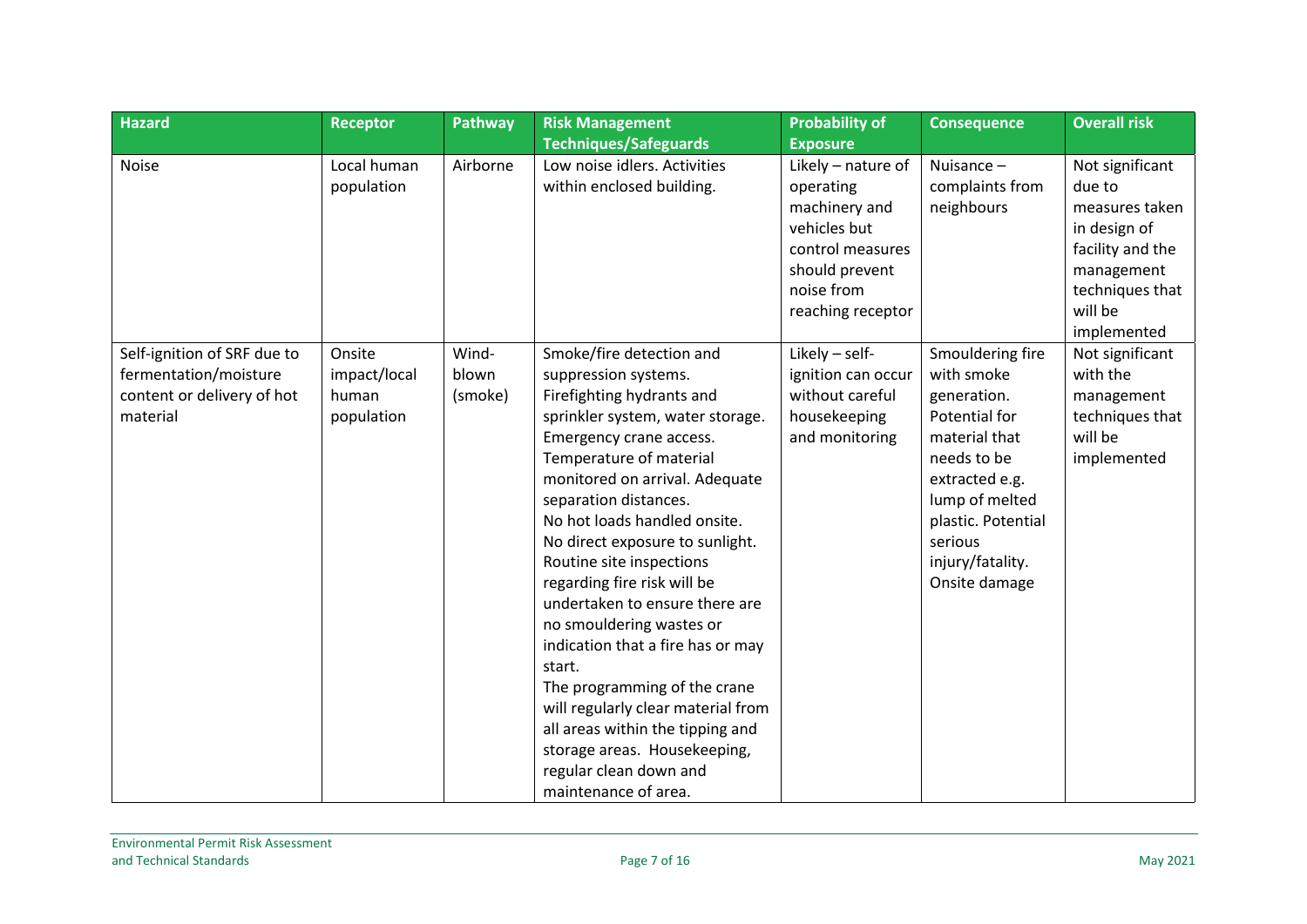| <b>Hazard</b>                                                                                  | <b>Receptor</b>                               | Pathway                   | <b>Risk Management</b>                                                                                                                                                                                                                                                                                                                                                                                                                                                                                                                                                                                                                                                    | <b>Probability of</b>                                                                                                                     | <b>Consequence</b>                                                                                                                                                                                       | <b>Overall risk</b>                                                                                                                        |
|------------------------------------------------------------------------------------------------|-----------------------------------------------|---------------------------|---------------------------------------------------------------------------------------------------------------------------------------------------------------------------------------------------------------------------------------------------------------------------------------------------------------------------------------------------------------------------------------------------------------------------------------------------------------------------------------------------------------------------------------------------------------------------------------------------------------------------------------------------------------------------|-------------------------------------------------------------------------------------------------------------------------------------------|----------------------------------------------------------------------------------------------------------------------------------------------------------------------------------------------------------|--------------------------------------------------------------------------------------------------------------------------------------------|
|                                                                                                |                                               |                           | <b>Techniques/Safeguards</b>                                                                                                                                                                                                                                                                                                                                                                                                                                                                                                                                                                                                                                              | <b>Exposure</b>                                                                                                                           |                                                                                                                                                                                                          |                                                                                                                                            |
| <b>Noise</b>                                                                                   | Local human<br>population                     | Airborne                  | Low noise idlers. Activities<br>within enclosed building.                                                                                                                                                                                                                                                                                                                                                                                                                                                                                                                                                                                                                 | Likely - nature of<br>operating<br>machinery and<br>vehicles but<br>control measures<br>should prevent<br>noise from<br>reaching receptor | Nuisance -<br>complaints from<br>neighbours                                                                                                                                                              | Not significant<br>due to<br>measures taken<br>in design of<br>facility and the<br>management<br>techniques that<br>will be<br>implemented |
| Self-ignition of SRF due to<br>fermentation/moisture<br>content or delivery of hot<br>material | Onsite<br>impact/local<br>human<br>population | Wind-<br>blown<br>(smoke) | Smoke/fire detection and<br>suppression systems.<br>Firefighting hydrants and<br>sprinkler system, water storage.<br>Emergency crane access.<br>Temperature of material<br>monitored on arrival. Adequate<br>separation distances.<br>No hot loads handled onsite.<br>No direct exposure to sunlight.<br>Routine site inspections<br>regarding fire risk will be<br>undertaken to ensure there are<br>no smouldering wastes or<br>indication that a fire has or may<br>start.<br>The programming of the crane<br>will regularly clear material from<br>all areas within the tipping and<br>storage areas. Housekeeping,<br>regular clean down and<br>maintenance of area. | Likely - self-<br>ignition can occur<br>without careful<br>housekeeping<br>and monitoring                                                 | Smouldering fire<br>with smoke<br>generation.<br>Potential for<br>material that<br>needs to be<br>extracted e.g.<br>lump of melted<br>plastic. Potential<br>serious<br>injury/fatality.<br>Onsite damage | Not significant<br>with the<br>management<br>techniques that<br>will be<br>implemented                                                     |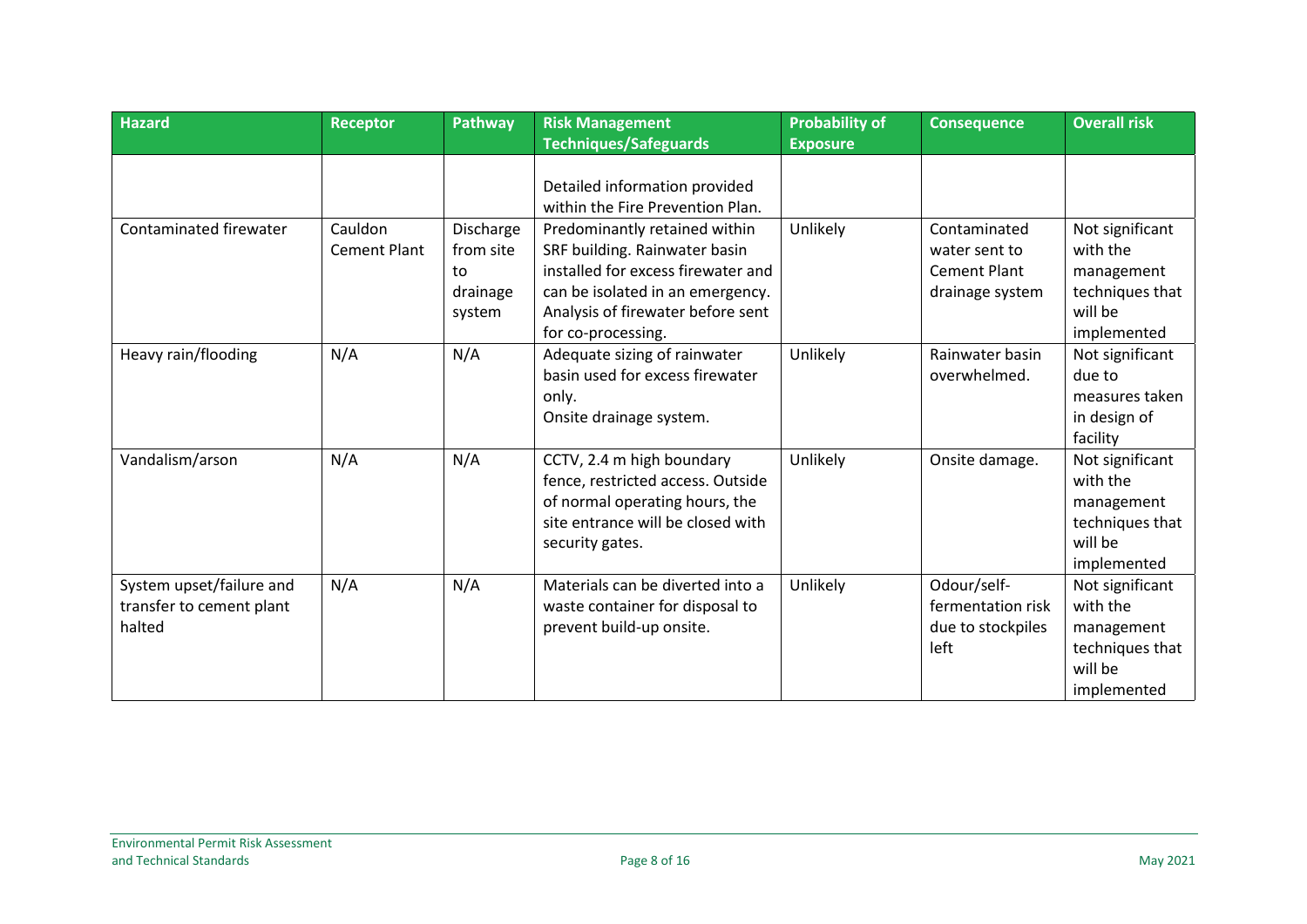| <b>Hazard</b>                                                  | <b>Receptor</b>                | Pathway                                                   | <b>Risk Management</b>                                                                                                                                                                              | <b>Probability of</b> | <b>Consequence</b>                                                      | <b>Overall risk</b>                                                                    |
|----------------------------------------------------------------|--------------------------------|-----------------------------------------------------------|-----------------------------------------------------------------------------------------------------------------------------------------------------------------------------------------------------|-----------------------|-------------------------------------------------------------------------|----------------------------------------------------------------------------------------|
|                                                                |                                |                                                           | <b>Techniques/Safeguards</b>                                                                                                                                                                        | <b>Exposure</b>       |                                                                         |                                                                                        |
|                                                                |                                |                                                           | Detailed information provided<br>within the Fire Prevention Plan.                                                                                                                                   |                       |                                                                         |                                                                                        |
| Contaminated firewater                                         | Cauldon<br><b>Cement Plant</b> | <b>Discharge</b><br>from site<br>to<br>drainage<br>system | Predominantly retained within<br>SRF building. Rainwater basin<br>installed for excess firewater and<br>can be isolated in an emergency.<br>Analysis of firewater before sent<br>for co-processing. | Unlikely              | Contaminated<br>water sent to<br><b>Cement Plant</b><br>drainage system | Not significant<br>with the<br>management<br>techniques that<br>will be<br>implemented |
| Heavy rain/flooding                                            | N/A                            | N/A                                                       | Adequate sizing of rainwater<br>basin used for excess firewater<br>only.<br>Onsite drainage system.                                                                                                 | Unlikely              | Rainwater basin<br>overwhelmed.                                         | Not significant<br>due to<br>measures taken<br>in design of<br>facility                |
| Vandalism/arson                                                | N/A                            | N/A                                                       | CCTV, 2.4 m high boundary<br>fence, restricted access. Outside<br>of normal operating hours, the<br>site entrance will be closed with<br>security gates.                                            | Unlikely              | Onsite damage.                                                          | Not significant<br>with the<br>management<br>techniques that<br>will be<br>implemented |
| System upset/failure and<br>transfer to cement plant<br>halted | N/A                            | N/A                                                       | Materials can be diverted into a<br>waste container for disposal to<br>prevent build-up onsite.                                                                                                     | Unlikely              | Odour/self-<br>fermentation risk<br>due to stockpiles<br>left           | Not significant<br>with the<br>management<br>techniques that<br>will be<br>implemented |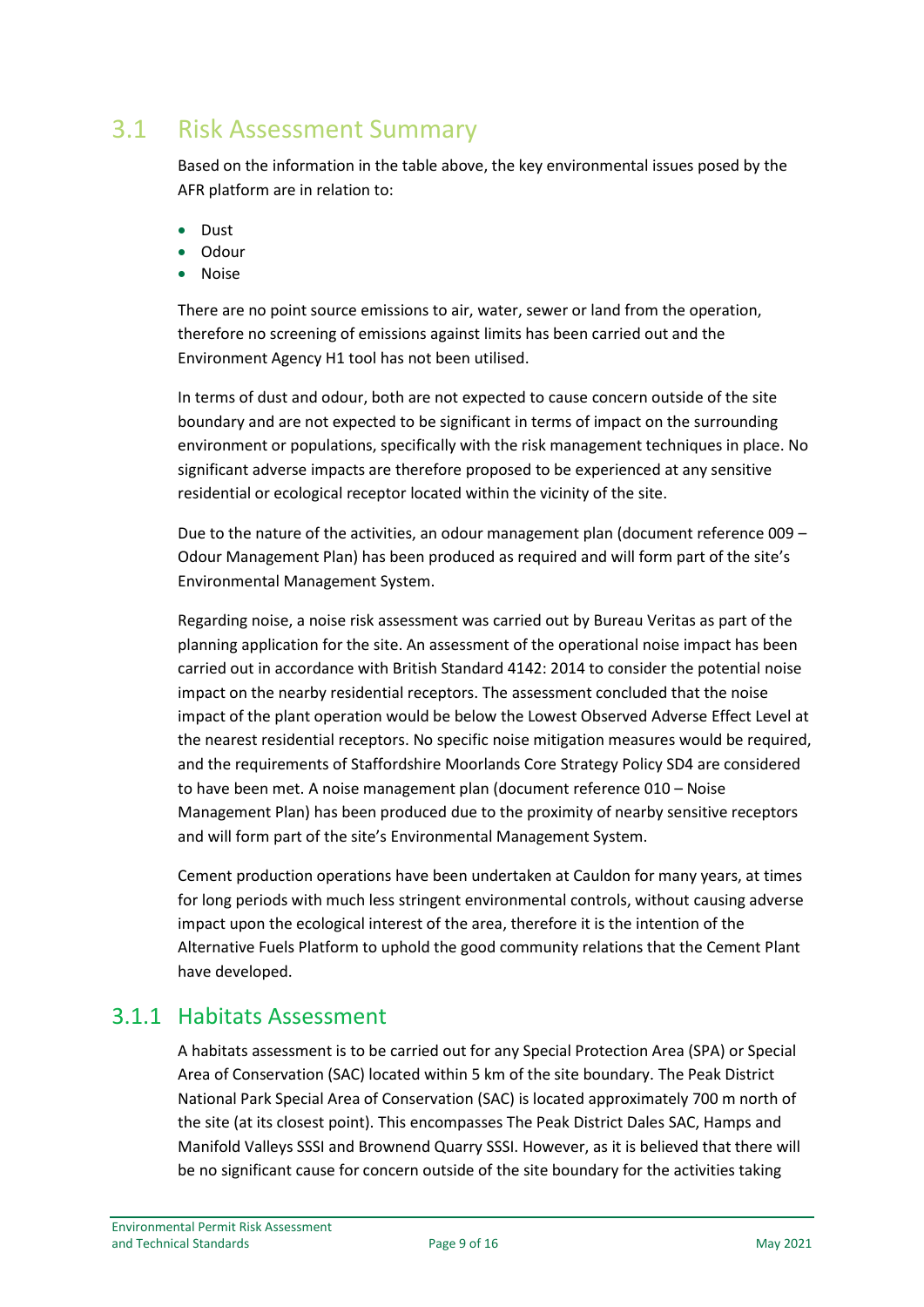#### <span id="page-9-0"></span>3.1 Risk Assessment Summary

Based on the information in the table above, the key environmental issues posed by the AFR platform are in relation to:

- Dust
- Odour
- Noise

There are no point source emissions to air, water, sewer or land from the operation, therefore no screening of emissions against limits has been carried out and the Environment Agency H1 tool has not been utilised.

In terms of dust and odour, both are not expected to cause concern outside of the site boundary and are not expected to be significant in terms of impact on the surrounding environment or populations, specifically with the risk management techniques in place. No significant adverse impacts are therefore proposed to be experienced at any sensitive residential or ecological receptor located within the vicinity of the site.

Due to the nature of the activities, an odour management plan (document reference 009 – Odour Management Plan) has been produced as required and will form part of the site's Environmental Management System.

Regarding noise, a noise risk assessment was carried out by Bureau Veritas as part of the planning application for the site. An assessment of the operational noise impact has been carried out in accordance with British Standard 4142: 2014 to consider the potential noise impact on the nearby residential receptors. The assessment concluded that the noise impact of the plant operation would be below the Lowest Observed Adverse Effect Level at the nearest residential receptors. No specific noise mitigation measures would be required, and the requirements of Staffordshire Moorlands Core Strategy Policy SD4 are considered to have been met. A noise management plan (document reference 010 – Noise Management Plan) has been produced due to the proximity of nearby sensitive receptors and will form part of the site's Environmental Management System.

Cement production operations have been undertaken at Cauldon for many years, at times for long periods with much less stringent environmental controls, without causing adverse impact upon the ecological interest of the area, therefore it is the intention of the Alternative Fuels Platform to uphold the good community relations that the Cement Plant have developed.

#### <span id="page-9-1"></span>3.1.1 Habitats Assessment

A habitats assessment is to be carried out for any Special Protection Area (SPA) or Special Area of Conservation (SAC) located within 5 km of the site boundary. The Peak District National Park Special Area of Conservation (SAC) is located approximately 700 m north of the site (at its closest point). This encompasses The Peak District Dales SAC, Hamps and Manifold Valleys SSSI and Brownend Quarry SSSI. However, as it is believed that there will be no significant cause for concern outside of the site boundary for the activities taking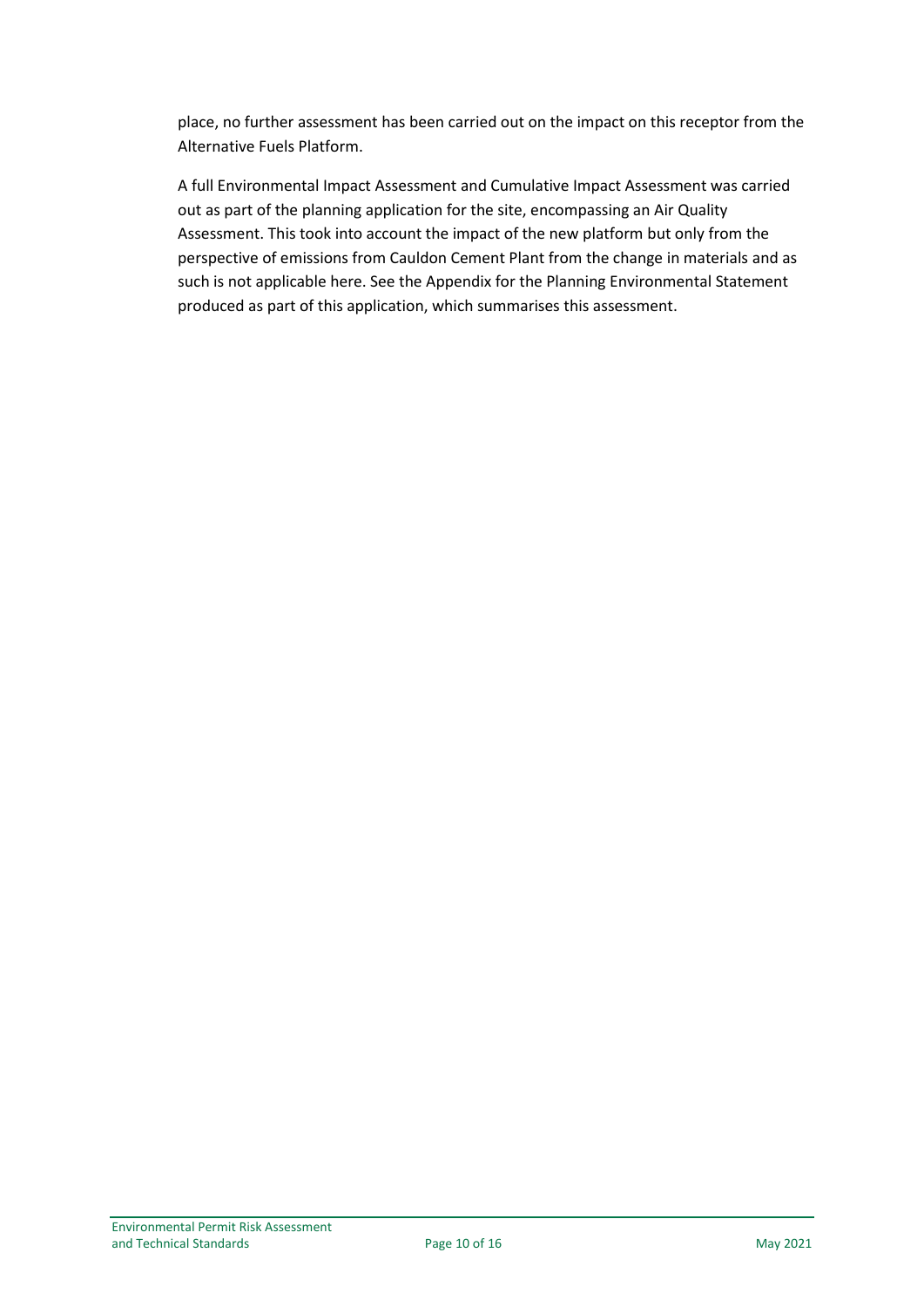place, no further assessment has been carried out on the impact on this receptor from the Alternative Fuels Platform.

A full Environmental Impact Assessment and Cumulative Impact Assessment was carried out as part of the planning application for the site, encompassing an Air Quality Assessment. This took into account the impact of the new platform but only from the perspective of emissions from Cauldon Cement Plant from the change in materials and as such is not applicable here. See the Appendix for the Planning Environmental Statement produced as part of this application, which summarises this assessment.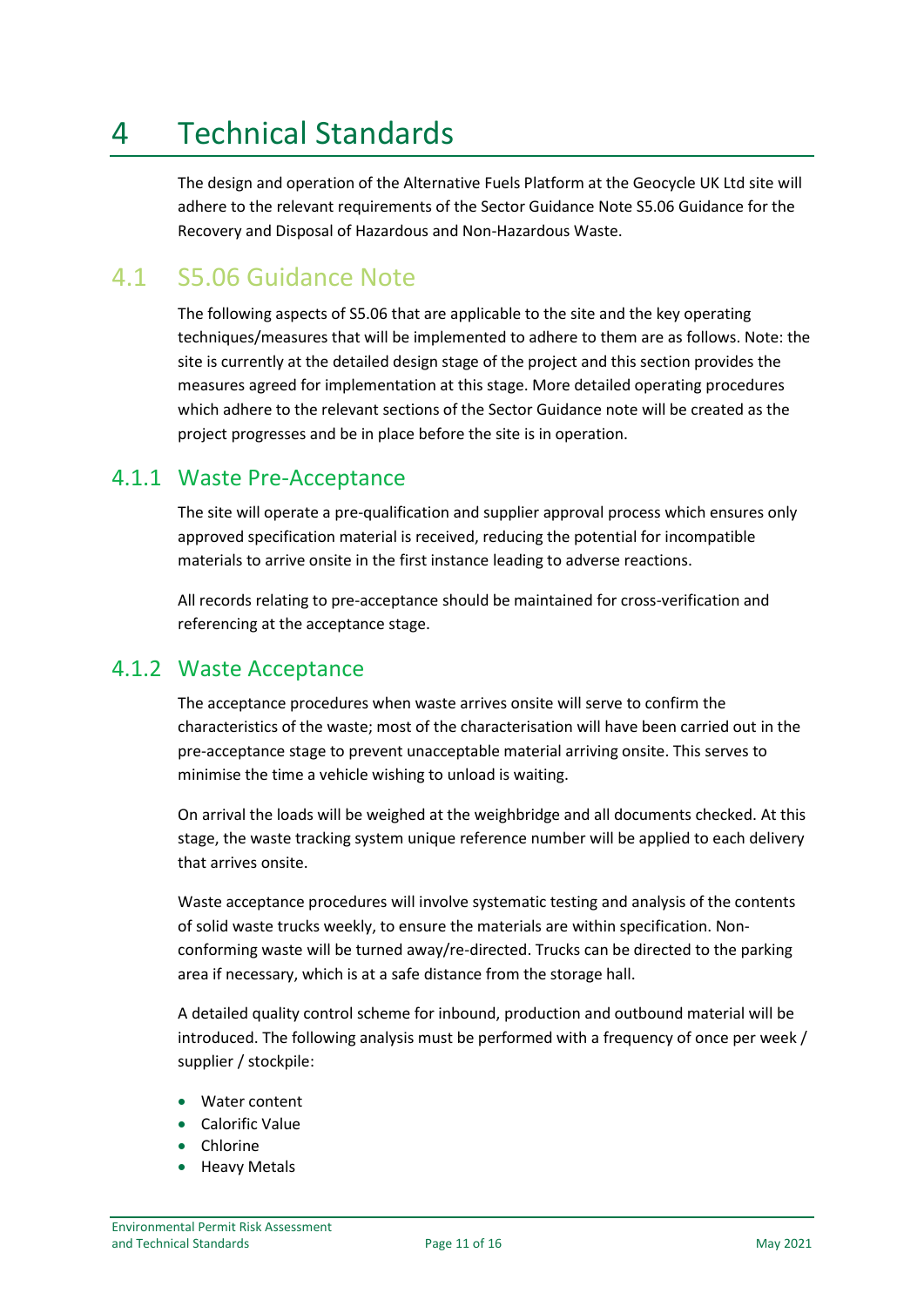# <span id="page-11-0"></span>4 Technical Standards

The design and operation of the Alternative Fuels Platform at the Geocycle UK Ltd site will adhere to the relevant requirements of the Sector Guidance Note S5.06 Guidance for the Recovery and Disposal of Hazardous and Non-Hazardous Waste.

#### <span id="page-11-1"></span>4.1 S5.06 Guidance Note

The following aspects of S5.06 that are applicable to the site and the key operating techniques/measures that will be implemented to adhere to them are as follows. Note: the site is currently at the detailed design stage of the project and this section provides the measures agreed for implementation at this stage. More detailed operating procedures which adhere to the relevant sections of the Sector Guidance note will be created as the project progresses and be in place before the site is in operation.

#### <span id="page-11-2"></span>4.1.1 Waste Pre-Acceptance

The site will operate a pre-qualification and supplier approval process which ensures only approved specification material is received, reducing the potential for incompatible materials to arrive onsite in the first instance leading to adverse reactions.

All records relating to pre-acceptance should be maintained for cross-verification and referencing at the acceptance stage.

#### <span id="page-11-3"></span>4.1.2 Waste Acceptance

The acceptance procedures when waste arrives onsite will serve to confirm the characteristics of the waste; most of the characterisation will have been carried out in the pre-acceptance stage to prevent unacceptable material arriving onsite. This serves to minimise the time a vehicle wishing to unload is waiting.

On arrival the loads will be weighed at the weighbridge and all documents checked. At this stage, the waste tracking system unique reference number will be applied to each delivery that arrives onsite.

Waste acceptance procedures will involve systematic testing and analysis of the contents of solid waste trucks weekly, to ensure the materials are within specification. Nonconforming waste will be turned away/re-directed. Trucks can be directed to the parking area if necessary, which is at a safe distance from the storage hall.

A detailed quality control scheme for inbound, production and outbound material will be introduced. The following analysis must be performed with a frequency of once per week / supplier / stockpile:

- Water content
- Calorific Value
- **Chlorine**
- Heavy Metals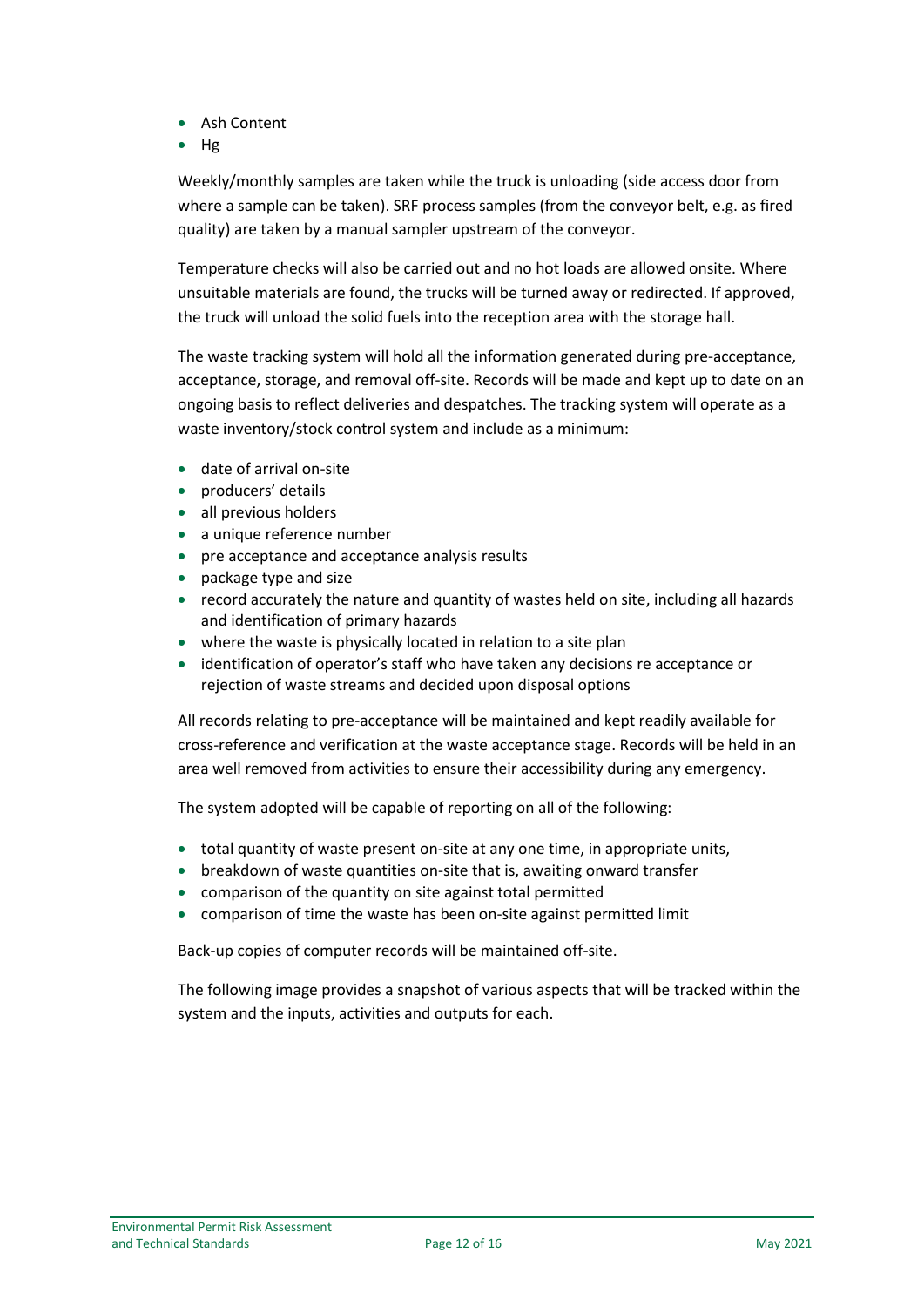- Ash Content
- Hg

Weekly/monthly samples are taken while the truck is unloading (side access door from where a sample can be taken). SRF process samples (from the conveyor belt, e.g. as fired quality) are taken by a manual sampler upstream of the conveyor.

Temperature checks will also be carried out and no hot loads are allowed onsite. Where unsuitable materials are found, the trucks will be turned away or redirected. If approved, the truck will unload the solid fuels into the reception area with the storage hall.

The waste tracking system will hold all the information generated during pre-acceptance, acceptance, storage, and removal off-site. Records will be made and kept up to date on an ongoing basis to reflect deliveries and despatches. The tracking system will operate as a waste inventory/stock control system and include as a minimum:

- date of arrival on-site
- producers' details
- all previous holders
- a unique reference number
- pre acceptance and acceptance analysis results
- package type and size
- record accurately the nature and quantity of wastes held on site, including all hazards and identification of primary hazards
- where the waste is physically located in relation to a site plan
- identification of operator's staff who have taken any decisions re acceptance or rejection of waste streams and decided upon disposal options

All records relating to pre-acceptance will be maintained and kept readily available for cross-reference and verification at the waste acceptance stage. Records will be held in an area well removed from activities to ensure their accessibility during any emergency.

The system adopted will be capable of reporting on all of the following:

- total quantity of waste present on-site at any one time, in appropriate units,
- breakdown of waste quantities on-site that is, awaiting onward transfer
- comparison of the quantity on site against total permitted
- comparison of time the waste has been on-site against permitted limit

Back-up copies of computer records will be maintained off-site.

The following image provides a snapshot of various aspects that will be tracked within the system and the inputs, activities and outputs for each.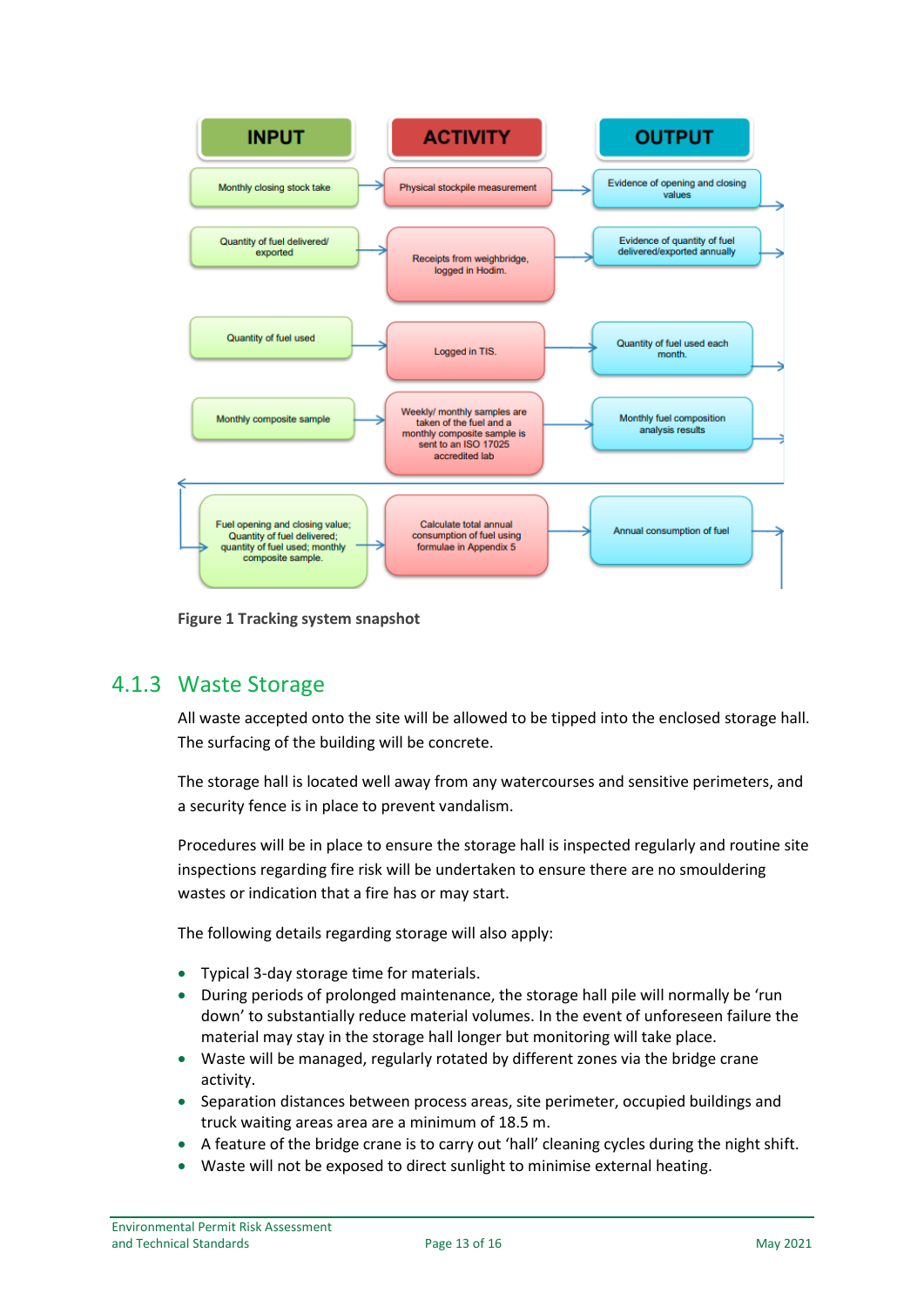

**Figure 1 Tracking system snapshot**

#### <span id="page-13-0"></span>4.1.3 Waste Storage

All waste accepted onto the site will be allowed to be tipped into the enclosed storage hall. The surfacing of the building will be concrete.

The storage hall is located well away from any watercourses and sensitive perimeters, and a security fence is in place to prevent vandalism.

Procedures will be in place to ensure the storage hall is inspected regularly and routine site inspections regarding fire risk will be undertaken to ensure there are no smouldering wastes or indication that a fire has or may start.

The following details regarding storage will also apply:

- Typical 3-day storage time for materials.
- During periods of prolonged maintenance, the storage hall pile will normally be 'run down' to substantially reduce material volumes. In the event of unforeseen failure the material may stay in the storage hall longer but monitoring will take place.
- Waste will be managed, regularly rotated by different zones via the bridge crane activity.
- Separation distances between process areas, site perimeter, occupied buildings and truck waiting areas area are a minimum of 18.5 m.
- A feature of the bridge crane is to carry out 'hall' cleaning cycles during the night shift.
- Waste will not be exposed to direct sunlight to minimise external heating.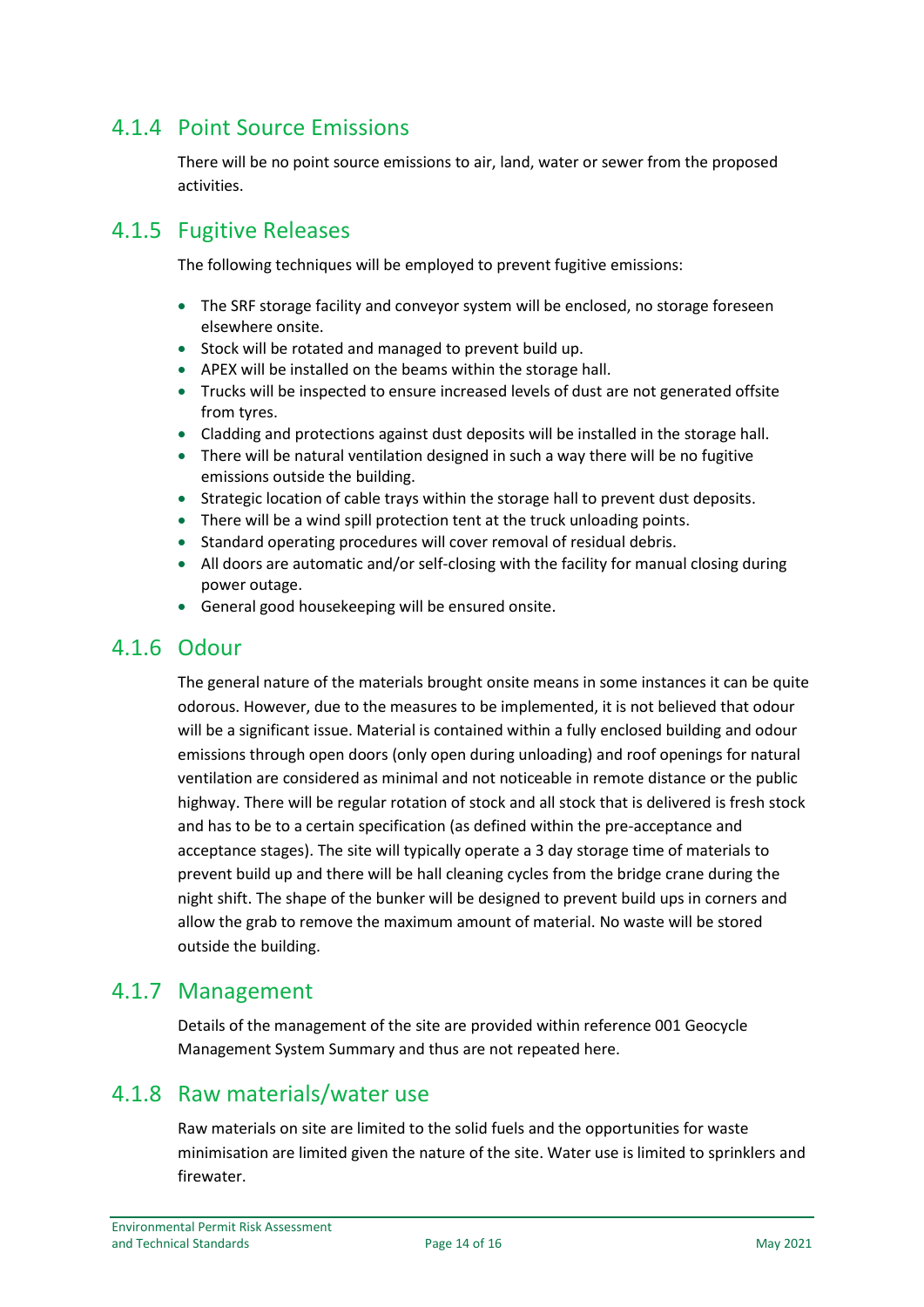#### <span id="page-14-0"></span>4.1.4 Point Source Emissions

There will be no point source emissions to air, land, water or sewer from the proposed activities.

#### <span id="page-14-1"></span>4.1.5 Fugitive Releases

The following techniques will be employed to prevent fugitive emissions:

- The SRF storage facility and conveyor system will be enclosed, no storage foreseen elsewhere onsite.
- Stock will be rotated and managed to prevent build up.
- APEX will be installed on the beams within the storage hall.
- Trucks will be inspected to ensure increased levels of dust are not generated offsite from tyres.
- Cladding and protections against dust deposits will be installed in the storage hall.
- There will be natural ventilation designed in such a way there will be no fugitive emissions outside the building.
- Strategic location of cable trays within the storage hall to prevent dust deposits.
- There will be a wind spill protection tent at the truck unloading points.
- Standard operating procedures will cover removal of residual debris.
- All doors are automatic and/or self-closing with the facility for manual closing during power outage.
- General good housekeeping will be ensured onsite.

#### <span id="page-14-2"></span>4.1.6 Odour

The general nature of the materials brought onsite means in some instances it can be quite odorous. However, due to the measures to be implemented, it is not believed that odour will be a significant issue. Material is contained within a fully enclosed building and odour emissions through open doors (only open during unloading) and roof openings for natural ventilation are considered as minimal and not noticeable in remote distance or the public highway. There will be regular rotation of stock and all stock that is delivered is fresh stock and has to be to a certain specification (as defined within the pre-acceptance and acceptance stages). The site will typically operate a 3 day storage time of materials to prevent build up and there will be hall cleaning cycles from the bridge crane during the night shift. The shape of the bunker will be designed to prevent build ups in corners and allow the grab to remove the maximum amount of material. No waste will be stored outside the building.

#### <span id="page-14-3"></span>4.1.7 Management

Details of the management of the site are provided within reference 001 Geocycle Management System Summary and thus are not repeated here.

#### <span id="page-14-4"></span>4.1.8 Raw materials/water use

Raw materials on site are limited to the solid fuels and the opportunities for waste minimisation are limited given the nature of the site. Water use is limited to sprinklers and firewater.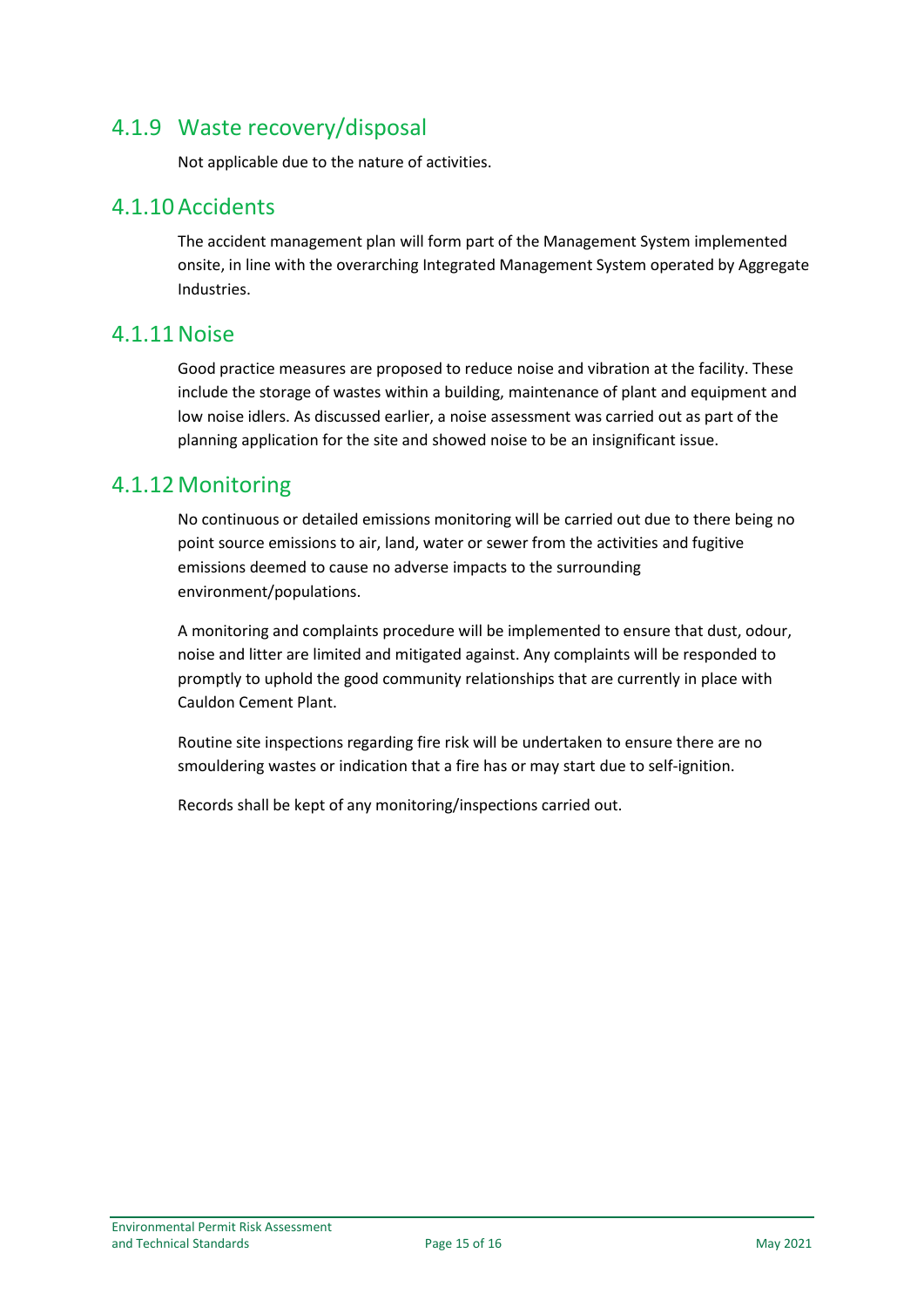#### <span id="page-15-0"></span>4.1.9 Waste recovery/disposal

Not applicable due to the nature of activities.

#### <span id="page-15-1"></span>4.1.10Accidents

The accident management plan will form part of the Management System implemented onsite, in line with the overarching Integrated Management System operated by Aggregate Industries.

#### <span id="page-15-2"></span>4.1.11Noise

Good practice measures are proposed to reduce noise and vibration at the facility. These include the storage of wastes within a building, maintenance of plant and equipment and low noise idlers. As discussed earlier, a noise assessment was carried out as part of the planning application for the site and showed noise to be an insignificant issue.

#### <span id="page-15-3"></span>4.1.12Monitoring

No continuous or detailed emissions monitoring will be carried out due to there being no point source emissions to air, land, water or sewer from the activities and fugitive emissions deemed to cause no adverse impacts to the surrounding environment/populations.

A monitoring and complaints procedure will be implemented to ensure that dust, odour, noise and litter are limited and mitigated against. Any complaints will be responded to promptly to uphold the good community relationships that are currently in place with Cauldon Cement Plant.

Routine site inspections regarding fire risk will be undertaken to ensure there are no smouldering wastes or indication that a fire has or may start due to self-ignition.

Records shall be kept of any monitoring/inspections carried out.